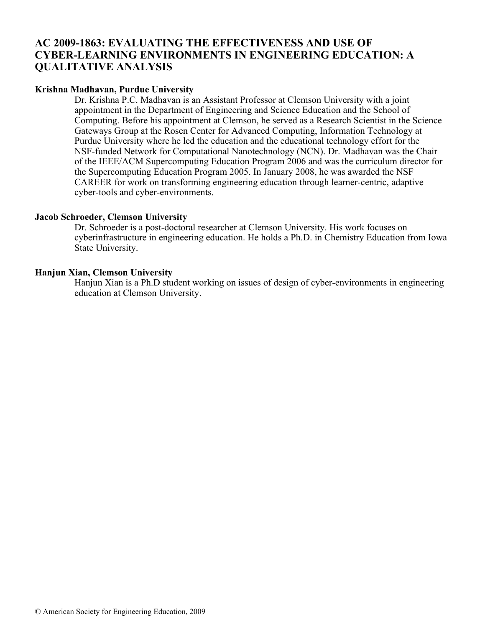# **AC 2009-1863: EVALUATING THE EFFECTIVENESS AND USE OF CYBER-LEARNING ENVIRONMENTS IN ENGINEERING EDUCATION: A QUALITATIVE ANALYSIS**

## **Krishna Madhavan, Purdue University**

Dr. Krishna P.C. Madhavan is an Assistant Professor at Clemson University with a joint appointment in the Department of Engineering and Science Education and the School of Computing. Before his appointment at Clemson, he served as a Research Scientist in the Science Gateways Group at the Rosen Center for Advanced Computing, Information Technology at Purdue University where he led the education and the educational technology effort for the NSF-funded Network for Computational Nanotechnology (NCN). Dr. Madhavan was the Chair of the IEEE/ACM Supercomputing Education Program 2006 and was the curriculum director for the Supercomputing Education Program 2005. In January 2008, he was awarded the NSF CAREER for work on transforming engineering education through learner-centric, adaptive cyber-tools and cyber-environments.

## **Jacob Schroeder, Clemson University**

Dr. Schroeder is a post-doctoral researcher at Clemson University. His work focuses on cyberinfrastructure in engineering education. He holds a Ph.D. in Chemistry Education from Iowa State University.

## **Hanjun Xian, Clemson University**

Hanjun Xian is a Ph.D student working on issues of design of cyber-environments in engineering education at Clemson University.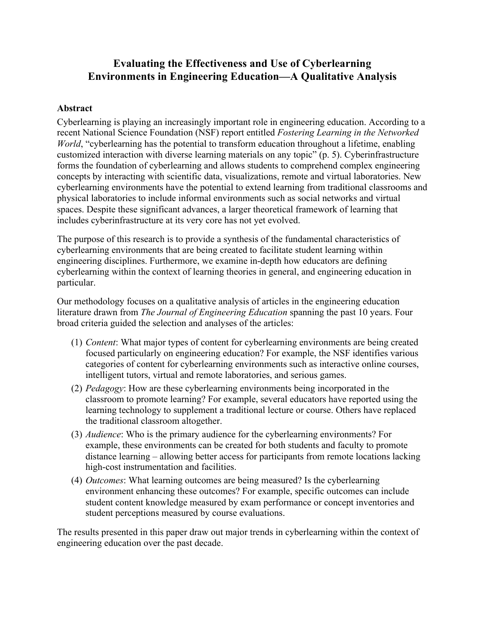# **Evaluating the Effectiveness and Use of Cyberlearning Environments in Engineering Education—A Qualitative Analysis**

## **Abstract**

Cyberlearning is playing an increasingly important role in engineering education. According to a recent National Science Foundation (NSF) report entitled *Fostering Learning in the Networked World*, "cyberlearning has the potential to transform education throughout a lifetime, enabling customized interaction with diverse learning materials on any topic" (p. 5). Cyberinfrastructure forms the foundation of cyberlearning and allows students to comprehend complex engineering concepts by interacting with scientific data, visualizations, remote and virtual laboratories. New cyberlearning environments have the potential to extend learning from traditional classrooms and physical laboratories to include informal environments such as social networks and virtual spaces. Despite these significant advances, a larger theoretical framework of learning that includes cyberinfrastructure at its very core has not yet evolved.

The purpose of this research is to provide a synthesis of the fundamental characteristics of cyberlearning environments that are being created to facilitate student learning within engineering disciplines. Furthermore, we examine in-depth how educators are defining cyberlearning within the context of learning theories in general, and engineering education in particular.

Our methodology focuses on a qualitative analysis of articles in the engineering education literature drawn from *The Journal of Engineering Education* spanning the past 10 years. Four broad criteria guided the selection and analyses of the articles:

- (1) *Content*: What major types of content for cyberlearning environments are being created focused particularly on engineering education? For example, the NSF identifies various categories of content for cyberlearning environments such as interactive online courses, intelligent tutors, virtual and remote laboratories, and serious games.
- (2) *Pedagogy*: How are these cyberlearning environments being incorporated in the classroom to promote learning? For example, several educators have reported using the learning technology to supplement a traditional lecture or course. Others have replaced the traditional classroom altogether.
- (3) *Audience*: Who is the primary audience for the cyberlearning environments? For example, these environments can be created for both students and faculty to promote distance learning – allowing better access for participants from remote locations lacking high-cost instrumentation and facilities.
- (4) *Outcomes*: What learning outcomes are being measured? Is the cyberlearning environment enhancing these outcomes? For example, specific outcomes can include student content knowledge measured by exam performance or concept inventories and student perceptions measured by course evaluations.

The results presented in this paper draw out major trends in cyberlearning within the context of engineering education over the past decade.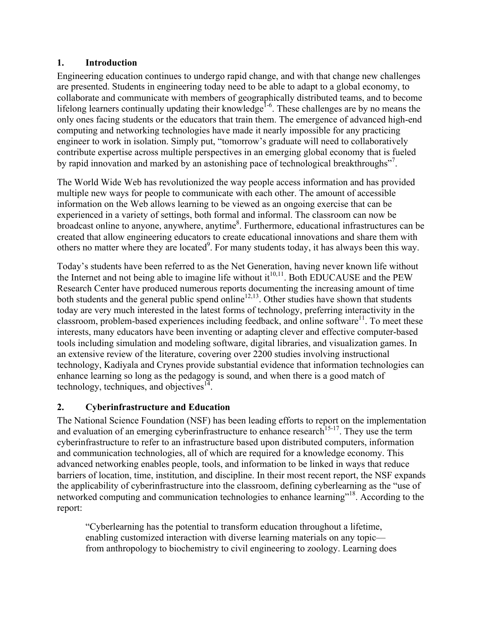## **1. Introduction**

Engineering education continues to undergo rapid change, and with that change new challenges are presented. Students in engineering today need to be able to adapt to a global economy, to collaborate and communicate with members of geographically distributed teams, and to become lifelong learners continually updating their knowledge<sup>1-6</sup>. These challenges are by no means the only ones facing students or the educators that train them. The emergence of advanced high-end computing and networking technologies have made it nearly impossible for any practicing engineer to work in isolation. Simply put, "tomorrow's graduate will need to collaboratively contribute expertise across multiple perspectives in an emerging global economy that is fueled by rapid innovation and marked by an astonishing pace of technological breakthroughs"<sup>7</sup>.

The World Wide Web has revolutionized the way people access information and has provided multiple new ways for people to communicate with each other. The amount of accessible information on the Web allows learning to be viewed as an ongoing exercise that can be experienced in a variety of settings, both formal and informal. The classroom can now be broadcast online to anyone, anywhere, anytime<sup>8</sup>. Furthermore, educational infrastructures can be created that allow engineering educators to create educational innovations and share them with others no matter where they are located<sup>9</sup>. For many students today, it has always been this way.

Today's students have been referred to as the Net Generation, having never known life without the Internet and not being able to imagine life without it<sup>10,11</sup>. Both EDUCAUSE and the PEW Research Center have produced numerous reports documenting the increasing amount of time both students and the general public spend online<sup>12,13</sup>. Other studies have shown that students today are very much interested in the latest forms of technology, preferring interactivity in the classroom, problem-based experiences including feedback, and online software<sup>11</sup>. To meet these interests, many educators have been inventing or adapting clever and effective computer-based tools including simulation and modeling software, digital libraries, and visualization games. In an extensive review of the literature, covering over 2200 studies involving instructional technology, Kadiyala and Crynes provide substantial evidence that information technologies can enhance learning so long as the pedagogy is sound, and when there is a good match of technology, techniques, and objectives $14$ .

# **2. Cyberinfrastructure and Education**

The National Science Foundation (NSF) has been leading efforts to report on the implementation and evaluation of an emerging cyberinfrastructure to enhance research<sup>15-17</sup>. They use the term cyberinfrastructure to refer to an infrastructure based upon distributed computers, information and communication technologies, all of which are required for a knowledge economy. This advanced networking enables people, tools, and information to be linked in ways that reduce barriers of location, time, institution, and discipline. In their most recent report, the NSF expands the applicability of cyberinfrastructure into the classroom, defining cyberlearning as the "use of networked computing and communication technologies to enhance learning"<sup>18</sup>. According to the report:

"Cyberlearning has the potential to transform education throughout a lifetime, enabling customized interaction with diverse learning materials on any topic from anthropology to biochemistry to civil engineering to zoology. Learning does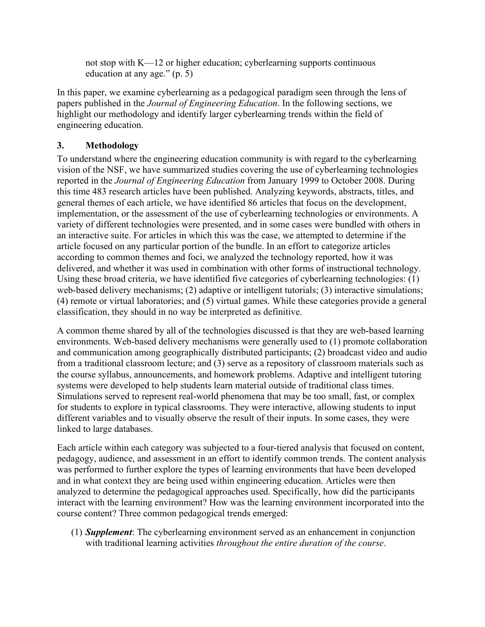not stop with K—12 or higher education; cyberlearning supports continuous education at any age." (p. 5)

In this paper, we examine cyberlearning as a pedagogical paradigm seen through the lens of papers published in the *Journal of Engineering Education*. In the following sections, we highlight our methodology and identify larger cyberlearning trends within the field of engineering education.

# **3. Methodology**

To understand where the engineering education community is with regard to the cyberlearning vision of the NSF, we have summarized studies covering the use of cyberlearning technologies reported in the *Journal of Engineering Education* from January 1999 to October 2008. During this time 483 research articles have been published. Analyzing keywords, abstracts, titles, and general themes of each article, we have identified 86 articles that focus on the development, implementation, or the assessment of the use of cyberlearning technologies or environments. A variety of different technologies were presented, and in some cases were bundled with others in an interactive suite. For articles in which this was the case, we attempted to determine if the article focused on any particular portion of the bundle. In an effort to categorize articles according to common themes and foci, we analyzed the technology reported, how it was delivered, and whether it was used in combination with other forms of instructional technology. Using these broad criteria, we have identified five categories of cyberlearning technologies: (1) web-based delivery mechanisms; (2) adaptive or intelligent tutorials; (3) interactive simulations; (4) remote or virtual laboratories; and (5) virtual games. While these categories provide a general classification, they should in no way be interpreted as definitive.

A common theme shared by all of the technologies discussed is that they are web-based learning environments. Web-based delivery mechanisms were generally used to (1) promote collaboration and communication among geographically distributed participants; (2) broadcast video and audio from a traditional classroom lecture; and (3) serve as a repository of classroom materials such as the course syllabus, announcements, and homework problems. Adaptive and intelligent tutoring systems were developed to help students learn material outside of traditional class times. Simulations served to represent real-world phenomena that may be too small, fast, or complex for students to explore in typical classrooms. They were interactive, allowing students to input different variables and to visually observe the result of their inputs. In some cases, they were linked to large databases.

Each article within each category was subjected to a four-tiered analysis that focused on content, pedagogy, audience, and assessment in an effort to identify common trends. The content analysis was performed to further explore the types of learning environments that have been developed and in what context they are being used within engineering education. Articles were then analyzed to determine the pedagogical approaches used. Specifically, how did the participants interact with the learning environment? How was the learning environment incorporated into the course content? Three common pedagogical trends emerged:

(1) *Supplement*: The cyberlearning environment served as an enhancement in conjunction with traditional learning activities *throughout the entire duration of the course*.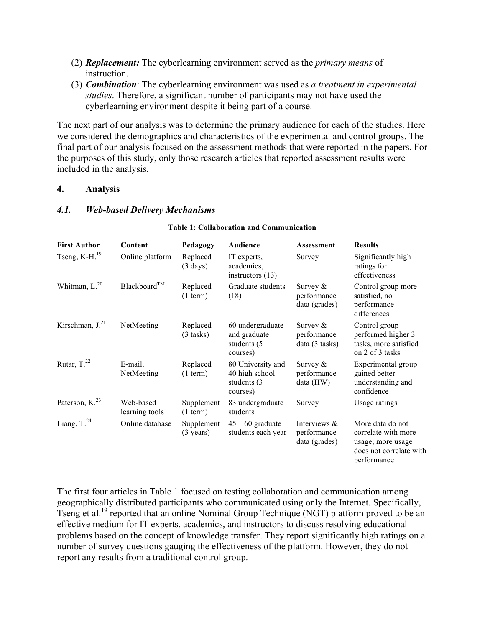- (2) *Replacement:* The cyberlearning environment served as the *primary means* of instruction.
- (3) *Combination*: The cyberlearning environment was used as *a treatment in experimental studies*. Therefore, a significant number of participants may not have used the cyberlearning environment despite it being part of a course.

The next part of our analysis was to determine the primary audience for each of the studies. Here we considered the demographics and characteristics of the experimental and control groups. The final part of our analysis focused on the assessment methods that were reported in the papers. For the purposes of this study, only those research articles that reported assessment results were included in the analysis.

### **4. Analysis**

### *4.1. Web-based Delivery Mechanisms*

| <b>First Author</b>           | Content                     | Pedagogy                          | <b>Audience</b>                                                 | Assessment                                      | <b>Results</b>                                                                                         |
|-------------------------------|-----------------------------|-----------------------------------|-----------------------------------------------------------------|-------------------------------------------------|--------------------------------------------------------------------------------------------------------|
| Tseng, $\overline{K-H.^{19}}$ | Online platform             | Replaced<br>$(3 \text{ days})$    | IT experts,<br>academics,<br>instructors $(13)$                 | Survey                                          | Significantly high<br>ratings for<br>effectiveness                                                     |
| Whitman, L. <sup>20</sup>     | Blackboard <sup>TM</sup>    | Replaced<br>$(1$ term)            | Graduate students<br>(18)                                       | Survey $\&$<br>performance<br>data (grades)     | Control group more<br>satisfied, no<br>performance<br>differences                                      |
| Kirschman, $J^{21}$           | NetMeeting                  | Replaced<br>$(3$ tasks)           | 60 undergraduate<br>and graduate<br>students (5)<br>courses)    | Survey $\&$<br>performance<br>data (3 tasks)    | Control group<br>performed higher 3<br>tasks, more satisfied<br>on 2 of 3 tasks                        |
| Rutar, $T^{22}$               | E-mail,<br>NetMeeting       | Replaced<br>$(1$ term)            | 80 University and<br>40 high school<br>students (3)<br>courses) | Survey $\&$<br>performance<br>data (HW)         | Experimental group<br>gained better<br>understanding and<br>confidence                                 |
| Paterson, K. <sup>23</sup>    | Web-based<br>learning tools | Supplement<br>$(1$ term)          | 83 undergraduate<br>students                                    | Survey                                          | Usage ratings                                                                                          |
| Liang, T. <sup>24</sup>       | Online database             | Supplement<br>$(3 \text{ years})$ | $45 - 60$ graduate<br>students each year                        | Interviews $\&$<br>performance<br>data (grades) | More data do not<br>correlate with more<br>usage; more usage<br>does not correlate with<br>performance |

### **Table 1: Collaboration and Communication**

The first four articles in Table 1 focused on testing collaboration and communication among geographically distributed participants who communicated using only the Internet. Specifically, Tseng et al.<sup>19</sup> reported that an online Nominal Group Technique (NGT) platform proved to be an effective medium for IT experts, academics, and instructors to discuss resolving educational problems based on the concept of knowledge transfer. They report significantly high ratings on a number of survey questions gauging the effectiveness of the platform. However, they do not report any results from a traditional control group.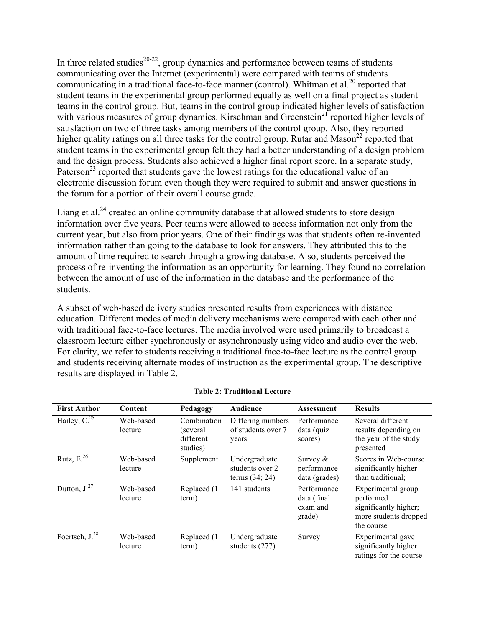In three related studies<sup>20-22</sup>, group dynamics and performance between teams of students communicating over the Internet (experimental) were compared with teams of students communicating in a traditional face-to-face manner (control). Whitman et al.<sup>20</sup> reported that student teams in the experimental group performed equally as well on a final project as student teams in the control group. But, teams in the control group indicated higher levels of satisfaction with various measures of group dynamics. Kirschman and Greenstein<sup>21</sup> reported higher levels of satisfaction on two of three tasks among members of the control group. Also, they reported higher quality ratings on all three tasks for the control group. Rutar and Mason<sup>22</sup> reported that student teams in the experimental group felt they had a better understanding of a design problem and the design process. Students also achieved a higher final report score. In a separate study, Paterson<sup>23</sup> reported that students gave the lowest ratings for the educational value of an electronic discussion forum even though they were required to submit and answer questions in the forum for a portion of their overall course grade.

Liang et al.<sup>24</sup> created an online community database that allowed students to store design information over five years. Peer teams were allowed to access information not only from the current year, but also from prior years. One of their findings was that students often re-invented information rather than going to the database to look for answers. They attributed this to the amount of time required to search through a growing database. Also, students perceived the process of re-inventing the information as an opportunity for learning. They found no correlation between the amount of use of the information in the database and the performance of the students.

A subset of web-based delivery studies presented results from experiences with distance education. Different modes of media delivery mechanisms were compared with each other and with traditional face-to-face lectures. The media involved were used primarily to broadcast a classroom lecture either synchronously or asynchronously using video and audio over the web. For clarity, we refer to students receiving a traditional face-to-face lecture as the control group and students receiving alternate modes of instruction as the experimental group. The descriptive results are displayed in Table 2.

| <b>First Author</b>         | Content              | Pedagogy                                          | <b>Audience</b>                                      | <b>Assessment</b>                                | <b>Results</b>                                                                                  |
|-----------------------------|----------------------|---------------------------------------------------|------------------------------------------------------|--------------------------------------------------|-------------------------------------------------------------------------------------------------|
| Hailey, $\overline{C}^{25}$ | Web-based<br>lecture | Combination<br>(several)<br>different<br>studies) | Differing numbers<br>of students over 7<br>years     | Performance<br>data (quiz<br>scores)             | Several different<br>results depending on<br>the year of the study<br>presented                 |
| Rutz, $E^{26}$              | Web-based<br>lecture | Supplement                                        | Undergraduate<br>students over 2<br>terms $(34; 24)$ | Survey $\&$<br>performance<br>data (grades)      | Scores in Web-course<br>significantly higher<br>than traditional:                               |
| Dutton, $J^{27}$            | Web-based<br>lecture | Replaced (1)<br>term)                             | 141 students                                         | Performance<br>data (final<br>exam and<br>grade) | Experimental group<br>performed<br>significantly higher;<br>more students dropped<br>the course |
| Foertsch, $J^{28}$          | Web-based<br>lecture | Replaced (1)<br>term)                             | Undergraduate<br>students (277)                      | Survey                                           | Experimental gave<br>significantly higher<br>ratings for the course                             |

### **Table 2: Traditional Lecture**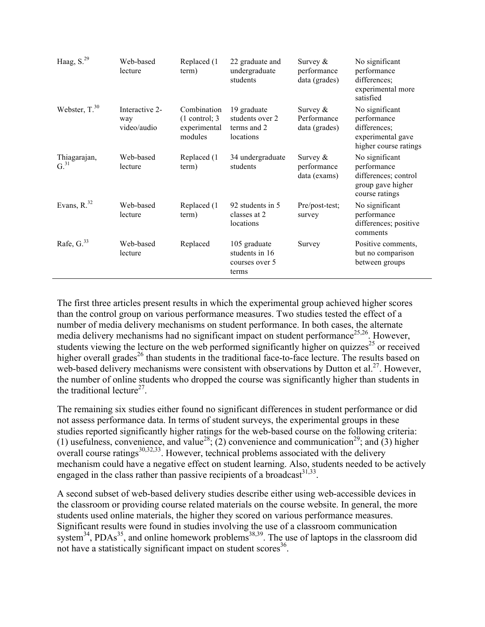| Haag, S. <sup>29</sup>           | Web-based<br>lecture                 | Replaced (1<br>term)                                      | 22 graduate and<br>undergraduate<br>students               | Survey $\&$<br>performance<br>data (grades) | No significant<br>performance<br>differences;<br>experimental more<br>satisfied              |
|----------------------------------|--------------------------------------|-----------------------------------------------------------|------------------------------------------------------------|---------------------------------------------|----------------------------------------------------------------------------------------------|
| Webster, T. <sup>30</sup>        | Interactive 2-<br>way<br>video/audio | Combination<br>$(1$ control; 3<br>experimental<br>modules | 19 graduate<br>students over 2<br>terms and 2<br>locations | Survey $\&$<br>Performance<br>data (grades) | No significant<br>performance<br>differences;<br>experimental gave<br>higher course ratings  |
| Thiagarajan,<br>G. <sup>31</sup> | Web-based<br>lecture                 | Replaced (1)<br>term)                                     | 34 undergraduate<br>students                               | Survey $\&$<br>performance<br>data (exams)  | No significant<br>performance<br>differences; control<br>group gave higher<br>course ratings |
| Evans, $R^{32}$                  | Web-based<br>lecture                 | Replaced (1<br>term)                                      | 92 students in 5<br>classes at 2<br>locations              | Pre/post-test;<br>survey                    | No significant<br>performance<br>differences; positive<br>comments                           |
| Rafe, $G^{33}$                   | Web-based<br>lecture                 | Replaced                                                  | 105 graduate<br>students in 16<br>courses over 5<br>terms  | Survey                                      | Positive comments,<br>but no comparison<br>between groups                                    |

The first three articles present results in which the experimental group achieved higher scores than the control group on various performance measures. Two studies tested the effect of a number of media delivery mechanisms on student performance. In both cases, the alternate media delivery mechanisms had no significant impact on student performance<sup>25,26</sup>. However, students viewing the lecture on the web performed significantly higher on quizzes<sup>25</sup> or received higher overall grades<sup>26</sup> than students in the traditional face-to-face lecture. The results based on web-based delivery mechanisms were consistent with observations by Dutton et al.<sup>27</sup>. However, the number of online students who dropped the course was significantly higher than students in the traditional lecture<sup>27</sup>.

The remaining six studies either found no significant differences in student performance or did not assess performance data. In terms of student surveys, the experimental groups in these studies reported significantly higher ratings for the web-based course on the following criteria: (1) usefulness, convenience, and value<sup>28</sup>; (2) convenience and communication<sup>29</sup>; and (3) higher overall course ratings $30,32,33$ . However, technical problems associated with the delivery mechanism could have a negative effect on student learning. Also, students needed to be actively engaged in the class rather than passive recipients of a broadcast $3^{1,33}$ .

A second subset of web-based delivery studies describe either using web-accessible devices in the classroom or providing course related materials on the course website. In general, the more students used online materials, the higher they scored on various performance measures. Significant results were found in studies involving the use of a classroom communication system<sup>34</sup>, PDAs<sup>35</sup>, and online homework problems<sup>38,39</sup>. The use of laptops in the classroom did not have a statistically significant impact on student scores<sup>36</sup>.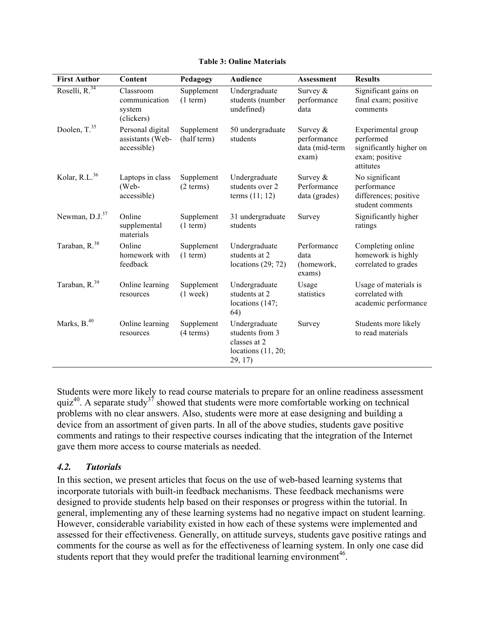#### **Table 3: Online Materials**

| <b>First Author</b>        | Content                                             | Pedagogy                  | <b>Audience</b>                                                                       | <b>Assessment</b>                                    | <b>Results</b>                                                                            |
|----------------------------|-----------------------------------------------------|---------------------------|---------------------------------------------------------------------------------------|------------------------------------------------------|-------------------------------------------------------------------------------------------|
| Roselli, R. <sup>34</sup>  | Classroom<br>communication<br>system<br>(clickers)  | Supplement<br>$(1$ term)  | Undergraduate<br>students (number<br>undefined)                                       | Survey $&$<br>performance<br>data                    | Significant gains on<br>final exam; positive<br>comments                                  |
| Doolen, T. <sup>35</sup>   | Personal digital<br>assistants (Web-<br>accessible) | Supplement<br>(half term) | 50 undergraduate<br>students                                                          | Survey $&$<br>performance<br>data (mid-term<br>exam) | Experimental group<br>performed<br>significantly higher on<br>exam; positive<br>attitutes |
| Kolar, R.L. <sup>36</sup>  | Laptops in class<br>(Web-<br>accessible)            | Supplement<br>(2 terms)   | Undergraduate<br>students over 2<br>terms $(11; 12)$                                  | Survey $&$<br>Performance<br>data (grades)           | No significant<br>performance<br>differences; positive<br>student comments                |
| Newman, D.J. <sup>37</sup> | Online<br>supplemental<br>materials                 | Supplement<br>(1 term)    | 31 undergraduate<br>students                                                          | Survey                                               | Significantly higher<br>ratings                                                           |
| Taraban, R. <sup>38</sup>  | Online<br>homework with<br>feedback                 | Supplement<br>(1 term)    | Undergraduate<br>students at 2<br>locations $(29; 72)$                                | Performance<br>data<br>(homework,<br>exams)          | Completing online<br>homework is highly<br>correlated to grades                           |
| Taraban, R. <sup>39</sup>  | Online learning<br>resources                        | Supplement<br>$(1$ week)  | Undergraduate<br>students at 2<br>locations (147;<br>64)                              | Usage<br>statistics                                  | Usage of materials is<br>correlated with<br>academic performance                          |
| Marks, B. <sup>40</sup>    | Online learning<br>resources                        | Supplement<br>(4 terms)   | Undergraduate<br>students from 3<br>classes at 2<br>locations $(11, 20)$ ;<br>29, 17) | Survey                                               | Students more likely<br>to read materials                                                 |

Students were more likely to read course materials to prepare for an online readiness assessment quiz<sup>40</sup>. A separate study<sup>37</sup> showed that students were more comfortable working on technical problems with no clear answers. Also, students were more at ease designing and building a device from an assortment of given parts. In all of the above studies, students gave positive comments and ratings to their respective courses indicating that the integration of the Internet gave them more access to course materials as needed.

## *4.2. Tutorials*

In this section, we present articles that focus on the use of web-based learning systems that incorporate tutorials with built-in feedback mechanisms. These feedback mechanisms were designed to provide students help based on their responses or progress within the tutorial. In general, implementing any of these learning systems had no negative impact on student learning. However, considerable variability existed in how each of these systems were implemented and assessed for their effectiveness. Generally, on attitude surveys, students gave positive ratings and comments for the course as well as for the effectiveness of learning system. In only one case did students report that they would prefer the traditional learning environment<sup>46</sup>.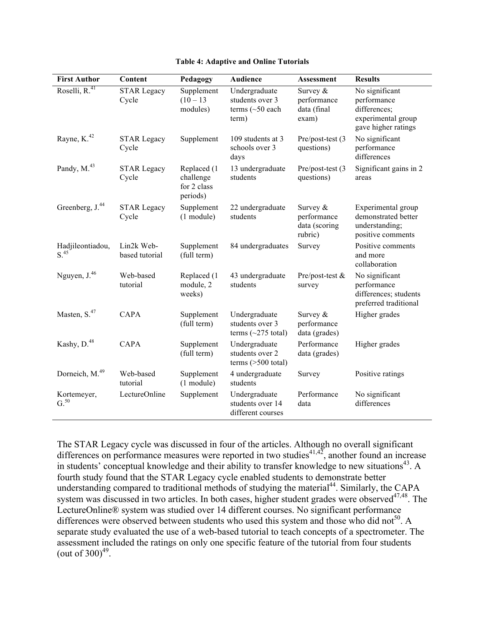| <b>First Author</b>                 | Content                      | Pedagogy                                            | <b>Audience</b>                                                    | Assessment                                            | <b>Results</b>                                                                             |
|-------------------------------------|------------------------------|-----------------------------------------------------|--------------------------------------------------------------------|-------------------------------------------------------|--------------------------------------------------------------------------------------------|
| Roselli, R. <sup>41</sup>           | <b>STAR Legacy</b><br>Cycle  | Supplement<br>$(10 - 13)$<br>modules)               | Undergraduate<br>students over 3<br>terms $(\sim 50$ each<br>term) | Survey $&$<br>performance<br>data (final<br>exam)     | No significant<br>performance<br>differences;<br>experimental group<br>gave higher ratings |
| Rayne, K. <sup>42</sup>             | <b>STAR Legacy</b><br>Cycle  | Supplement                                          | 109 students at 3<br>schools over 3<br>days                        | Pre/post-test (3<br>questions)                        | No significant<br>performance<br>differences                                               |
| Pandy, M. <sup>43</sup>             | <b>STAR Legacy</b><br>Cycle  | Replaced (1<br>challenge<br>for 2 class<br>periods) | 13 undergraduate<br>students                                       | Pre/post-test (3<br>questions)                        | Significant gains in 2<br>areas                                                            |
| Greenberg, J. <sup>44</sup>         | <b>STAR Legacy</b><br>Cycle  | Supplement<br>$(1$ module)                          | 22 undergraduate<br>students                                       | Survey $&$<br>performance<br>data (scoring<br>rubric) | Experimental group<br>demonstrated better<br>understanding;<br>positive comments           |
| Hadjileontiadou,<br>S <sup>45</sup> | Lin2k Web-<br>based tutorial | Supplement<br>(full term)                           | 84 undergraduates                                                  | Survey                                                | Positive comments<br>and more<br>collaboration                                             |
| Nguyen, J. <sup>46</sup>            | Web-based<br>tutorial        | Replaced (1<br>module, 2<br>weeks)                  | 43 undergraduate<br>students                                       | Pre/post-test &<br>survey                             | No significant<br>performance<br>differences; students<br>preferred traditional            |
| Masten, S. <sup>47</sup>            | <b>CAPA</b>                  | Supplement<br>(full term)                           | Undergraduate<br>students over 3<br>terms $(\sim 275$ total)       | Survey &<br>performance<br>data (grades)              | Higher grades                                                                              |
| Kashy, D. <sup>48</sup>             | CAPA                         | Supplement<br>(full term)                           | Undergraduate<br>students over 2<br>terms $($ >500 total $)$       | Performance<br>data (grades)                          | Higher grades                                                                              |
| Dorneich, M. <sup>49</sup>          | Web-based<br>tutorial        | Supplement<br>$(1$ module)                          | 4 undergraduate<br>students                                        | Survey                                                | Positive ratings                                                                           |
| Kortemeyer,<br>G.50                 | LectureOnline                | Supplement                                          | Undergraduate<br>students over 14<br>different courses             | Performance<br>data                                   | No significant<br>differences                                                              |

### **Table 4: Adaptive and Online Tutorials**

The STAR Legacy cycle was discussed in four of the articles. Although no overall significant differences on performance measures were reported in two studies<sup>41,42</sup>, another found an increase in students' conceptual knowledge and their ability to transfer knowledge to new situations<sup>43</sup>. A fourth study found that the STAR Legacy cycle enabled students to demonstrate better understanding compared to traditional methods of studying the material<sup>44</sup>. Similarly, the CAPA system was discussed in two articles. In both cases, higher student grades were observed<sup>47,48</sup>. The LectureOnline® system was studied over 14 different courses. No significant performance differences were observed between students who used this system and those who did not<sup>50</sup>. A separate study evaluated the use of a web-based tutorial to teach concepts of a spectrometer. The assessment included the ratings on only one specific feature of the tutorial from four students (out of  $300)^{49}$ .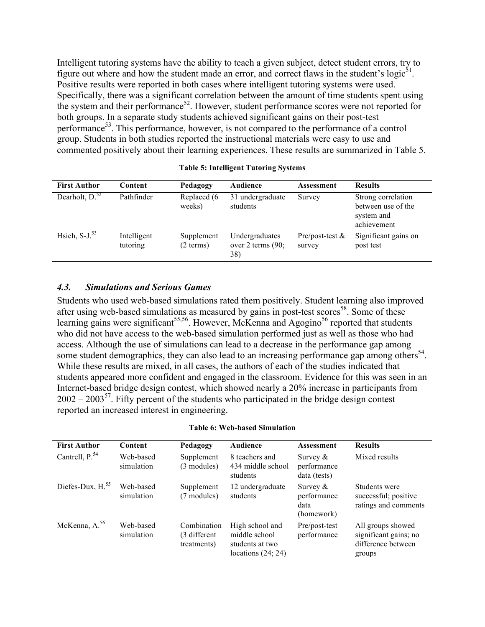Intelligent tutoring systems have the ability to teach a given subject, detect student errors, try to figure out where and how the student made an error, and correct flaws in the student's logic $<sup>51</sup>$ .</sup> Positive results were reported in both cases where intelligent tutoring systems were used. Specifically, there was a significant correlation between the amount of time students spent using the system and their performance $52$ . However, student performance scores were not reported for both groups. In a separate study students achieved significant gains on their post-test performance<sup>53</sup>. This performance, however, is not compared to the performance of a control group. Students in both studies reported the instructional materials were easy to use and commented positively about their learning experiences. These results are summarized in Table 5.

| <b>First Author</b>           | Content                 | Pedagogy                | Audience                                     | <b>Assessment</b>            | <b>Results</b>                                                        |
|-------------------------------|-------------------------|-------------------------|----------------------------------------------|------------------------------|-----------------------------------------------------------------------|
| Dearholt, $D^{\overline{52}}$ | Pathfinder              | Replaced (6<br>weeks)   | 31 undergraduate<br>students                 | Survey                       | Strong correlation<br>between use of the<br>system and<br>achievement |
| Hsieh, $S-J^{53}$             | Intelligent<br>tutoring | Supplement<br>(2 terms) | Undergraduates<br>over 2 terms $(90;$<br>38) | Pre/post-test $\&$<br>survey | Significant gains on<br>post test                                     |

#### **Table 5: Intelligent Tutoring Systems**

### *4.3. Simulations and Serious Games*

Students who used web-based simulations rated them positively. Student learning also improved after using web-based simulations as measured by gains in post-test scores<sup>58</sup>. Some of these learning gains were significant<sup>55,56</sup>. However, McKenna and Agogino<sup>56</sup> reported that students who did not have access to the web-based simulation performed just as well as those who had access. Although the use of simulations can lead to a decrease in the performance gap among some student demographics, they can also lead to an increasing performance gap among others<sup>54</sup>. While these results are mixed, in all cases, the authors of each of the studies indicated that students appeared more confident and engaged in the classroom. Evidence for this was seen in an Internet-based bridge design contest, which showed nearly a 20% increase in participants from  $2002 - 2003^{57}$ . Fifty percent of the students who participated in the bridge design contest reported an increased interest in engineering.

|  |  |  | <b>Table 6: Web-based Simulation</b> |
|--|--|--|--------------------------------------|
|--|--|--|--------------------------------------|

| <b>First Author</b> | Content                 | Pedagogy                                   | <b>Audience</b>                                                             | <b>Assessment</b>                                | <b>Results</b>                                                             |
|---------------------|-------------------------|--------------------------------------------|-----------------------------------------------------------------------------|--------------------------------------------------|----------------------------------------------------------------------------|
| Cantrell, $P^{54}$  | Web-based<br>simulation | Supplement<br>(3 modules)                  | 8 teachers and<br>434 middle school<br>students                             | Survey $\&$<br>performance<br>data (tests)       | Mixed results                                                              |
| Diefes-Dux, $H55$   | Web-based<br>simulation | Supplement<br>(7 modules)                  | 12 undergraduate<br>students                                                | Survey $\&$<br>performance<br>data<br>(homework) | Students were<br>successful; positive<br>ratings and comments              |
| McKenna, $A^{56}$   | Web-based<br>simulation | Combination<br>(3 different<br>treatments) | High school and<br>middle school<br>students at two<br>locations $(24; 24)$ | Pre/post-test<br>performance                     | All groups showed<br>significant gains; no<br>difference between<br>groups |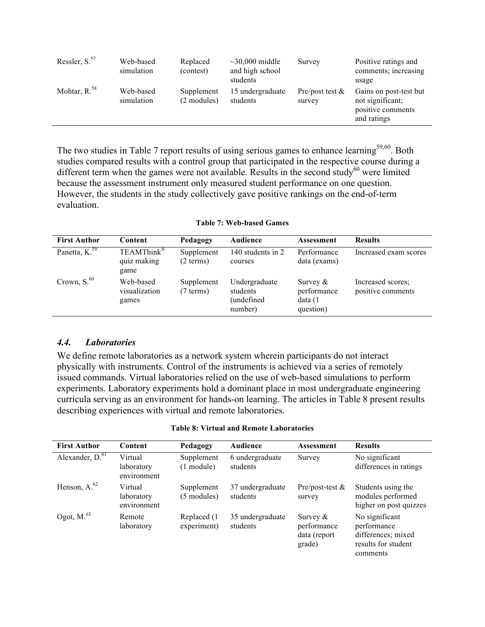| Ressler, $S^{57}$ | Web-based<br>simulation | Replaced<br>(contest)     | $\sim$ 30,000 middle<br>and high school<br>students | Survey                       | Positive ratings and<br>comments; increasing<br>usage                          |
|-------------------|-------------------------|---------------------------|-----------------------------------------------------|------------------------------|--------------------------------------------------------------------------------|
| Mohtar, $R^{58}$  | Web-based<br>simulation | Supplement<br>(2 modules) | 15 undergraduate<br>students                        | Pre/post test $\&$<br>survey | Gains on post-test but<br>not significant;<br>positive comments<br>and ratings |

The two studies in Table 7 report results of using serious games to enhance learning<sup>59,60</sup>. Both studies compared results with a control group that participated in the respective course during a different term when the games were not available. Results in the second study<sup>60</sup> were limited because the assessment instrument only measured student performance on one question. However, the students in the study collectively gave positive rankings on the end-of-term evaluation.

|  |  | <b>Table 7: Web-based Games</b> |  |
|--|--|---------------------------------|--|
|--|--|---------------------------------|--|

| <b>First Author</b> | Content                                       | Pedagogy                | <b>Audience</b>                                    | Assessment                                         | <b>Results</b>                         |
|---------------------|-----------------------------------------------|-------------------------|----------------------------------------------------|----------------------------------------------------|----------------------------------------|
| Panetta, $K59$      | TEAMThink <sup>®</sup><br>quiz making<br>game | Supplement<br>(2 terms) | 140 students in 2<br>courses                       | Performance<br>data (exams)                        | Increased exam scores                  |
| Crown, $S^{60}$     | Web-based<br>visualization<br>games           | Supplement<br>(7 terms) | Undergraduate<br>students<br>(undefined<br>number) | Survey $\&$<br>performance<br>data(1)<br>question) | Increased scores:<br>positive comments |

## *4.4. Laboratories*

We define remote laboratories as a network system wherein participants do not interact physically with instruments. Control of the instruments is achieved via a series of remotely issued commands. Virtual laboratories relied on the use of web-based simulations to perform experiments. Laboratory experiments hold a dominant place in most undergraduate engineering curricula serving as an environment for hands-on learning. The articles in Table 8 present results describing experiences with virtual and remote laboratories.

### **Table 8: Virtual and Remote Laboratories**

| <b>First Author</b>                | Content                              | Pedagogy                    | <b>Audience</b>              | <b>Assessment</b>                                    | <b>Results</b>                                                                         |
|------------------------------------|--------------------------------------|-----------------------------|------------------------------|------------------------------------------------------|----------------------------------------------------------------------------------------|
| Alexander, $\overline{D_{0}^{61}}$ | Virtual<br>laboratory<br>environment | Supplement<br>$(1$ module)  | 6 undergraduate<br>students  | Survey                                               | No significant<br>differences in ratings                                               |
| Henson, $A^{62}$                   | Virtual<br>laboratory<br>environment | Supplement<br>(5 modules)   | 37 undergraduate<br>students | Pre/post-test $\&$<br>survey                         | Students using the<br>modules performed<br>higher on post quizzes                      |
| Ogot, $M.^{63}$                    | Remote<br>laboratory                 | Replaced (1)<br>experiment) | 35 undergraduate<br>students | Survey $\&$<br>performance<br>data (report<br>grade) | No significant<br>performance<br>differences; mixed<br>results for student<br>comments |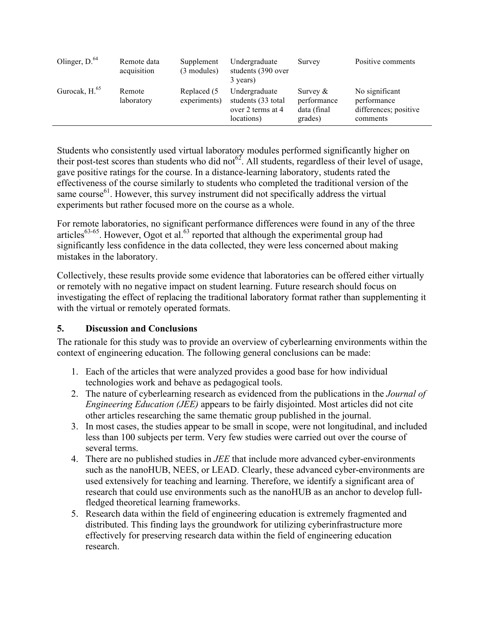| Olinger, $D^{64}$         | Remote data<br>acquisition | Supplement<br>(3 modules)   | Undergraduate<br>students (390 over<br>3 years)                        | Survey                                               | Positive comments                                                  |
|---------------------------|----------------------------|-----------------------------|------------------------------------------------------------------------|------------------------------------------------------|--------------------------------------------------------------------|
| Gurocak, H. <sup>65</sup> | Remote<br>laboratory       | Replaced (5<br>experiments) | Undergraduate<br>students (33 total<br>over 2 terms at 4<br>locations) | Survey $\&$<br>performance<br>data (final<br>grades) | No significant<br>performance<br>differences; positive<br>comments |

Students who consistently used virtual laboratory modules performed significantly higher on their post-test scores than students who did not<sup> $62$ </sup>. All students, regardless of their level of usage, gave positive ratings for the course. In a distance-learning laboratory, students rated the effectiveness of the course similarly to students who completed the traditional version of the same course<sup>61</sup>. However, this survey instrument did not specifically address the virtual experiments but rather focused more on the course as a whole.

For remote laboratories, no significant performance differences were found in any of the three articles<sup>63-65</sup>. However, Ogot et al.<sup>63</sup> reported that although the experimental group had significantly less confidence in the data collected, they were less concerned about making mistakes in the laboratory.

Collectively, these results provide some evidence that laboratories can be offered either virtually or remotely with no negative impact on student learning. Future research should focus on investigating the effect of replacing the traditional laboratory format rather than supplementing it with the virtual or remotely operated formats.

# **5. Discussion and Conclusions**

The rationale for this study was to provide an overview of cyberlearning environments within the context of engineering education. The following general conclusions can be made:

- 1. Each of the articles that were analyzed provides a good base for how individual technologies work and behave as pedagogical tools.
- 2. The nature of cyberlearning research as evidenced from the publications in the *Journal of Engineering Education (JEE)* appears to be fairly disjointed. Most articles did not cite other articles researching the same thematic group published in the journal.
- 3. In most cases, the studies appear to be small in scope, were not longitudinal, and included less than 100 subjects per term. Very few studies were carried out over the course of several terms.
- 4. There are no published studies in *JEE* that include more advanced cyber-environments such as the nanoHUB, NEES, or LEAD. Clearly, these advanced cyber-environments are used extensively for teaching and learning. Therefore, we identify a significant area of research that could use environments such as the nanoHUB as an anchor to develop fullfledged theoretical learning frameworks.
- 5. Research data within the field of engineering education is extremely fragmented and distributed. This finding lays the groundwork for utilizing cyberinfrastructure more effectively for preserving research data within the field of engineering education research.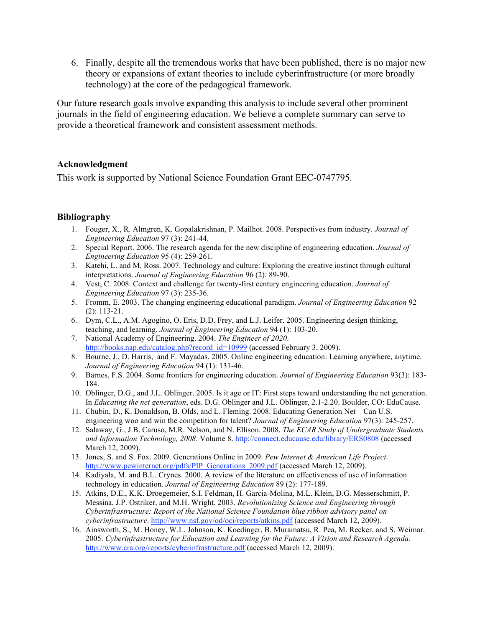6. Finally, despite all the tremendous works that have been published, there is no major new theory or expansions of extant theories to include cyberinfrastructure (or more broadly technology) at the core of the pedagogical framework.

Our future research goals involve expanding this analysis to include several other prominent journals in the field of engineering education. We believe a complete summary can serve to provide a theoretical framework and consistent assessment methods.

## **Acknowledgment**

This work is supported by National Science Foundation Grant EEC-0747795.

## **Bibliography**

- 1. Fouger, X., R. Almgren, K. Gopalakrishnan, P. Mailhot. 2008. Perspectives from industry. *Journal of Engineering Education* 97 (3): 241-44.
- 2. Special Report. 2006. The research agenda for the new discipline of engineering education. *Journal of Engineering Education* 95 (4): 259-261.
- 3. Katehi, L. and M. Ross. 2007. Technology and culture: Exploring the creative instinct through cultural interpretations. *Journal of Engineering Education* 96 (2): 89-90.
- 4. Vest, C. 2008. Context and challenge for twenty-first century engineering education. *Journal of Engineering Education* 97 (3): 235-36.
- 5. Fromm, E. 2003. The changing engineering educational paradigm. *Journal of Engineering Education* 92 (2): 113-21.
- 6. Dym, C.L., A.M. Agogino, O. Eris, D.D. Frey, and L.J. Leifer. 2005. Engineering design thinking, teaching, and learning. *Journal of Engineering Education* 94 (1): 103-20.
- 7. National Academy of Engineering. 2004. *The Engineer of 2020*. http://books.nap.edu/catalog.php?record\_id=10999 (accessed February 3, 2009).
- 8. Bourne, J., D. Harris, and F. Mayadas. 2005. Online engineering education: Learning anywhere, anytime. *Journal of Engineering Education* 94 (1): 131-46.
- 9. Barnes, F.S. 2004. Some frontiers for engineering education. *Journal of Engineering Education* 93(3): 183- 184.
- 10. Oblinger, D.G., and J.L. Oblinger. 2005. Is it age or IT: First steps toward understanding the net generation. In *Educating the net generation*, eds. D.G. Oblinger and J.L. Oblinger, 2.1-2.20. Boulder, CO: EduCause.
- 11. Chubin, D., K. Donaldson, B. Olds, and L. Fleming. 2008. Educating Generation Net—Can U.S. engineering woo and win the competition for talent? *Journal of Engineering Education* 97(3): 245-257.
- 12. Salaway, G., J.B. Caruso, M.R. Nelson, and N. Ellison. 2008. *The ECAR Study of Undergraduate Students and Information Technology, 2008*. Volume 8. http://connect.educause.edu/library/ERS0808 (accessed March 12, 2009).
- 13. Jones, S. and S. Fox. 2009. Generations Online in 2009. *Pew Internet & American Life Project*. http://www.pewinternet.org/pdfs/PIP\_Generations\_2009.pdf (accessed March 12, 2009).
- 14. Kadiyala, M. and B.L. Crynes. 2000. A review of the literature on effectiveness of use of information technology in education. *Journal of Engineering Education* 89 (2): 177-189.
- 15. Atkins, D.E., K.K. Droegemeier, S.I. Feldman, H. Garcia-Molina, M.L. Klein, D.G. Messerschmitt, P. Messina, J.P. Ostriker, and M.H. Wright. 2003. *Revolutionizing Science and Engineering through Cyberinfrastructure: Report of the National Science Foundation blue ribbon advisory panel on cyberinfrastructure*. http://www.nsf.gov/od/oci/reports/atkins.pdf (accessed March 12, 2009).
- 16. Ainsworth, S., M. Honey, W.L. Johnson, K. Koedinger, B. Muramatsu, R. Pea, M. Recker, and S. Weimar. 2005. *Cyberinfrastructure for Education and Learning for the Future: A Vision and Research Agenda*. http://www.cra.org/reports/cyberinfrastructure.pdf (accessed March 12, 2009).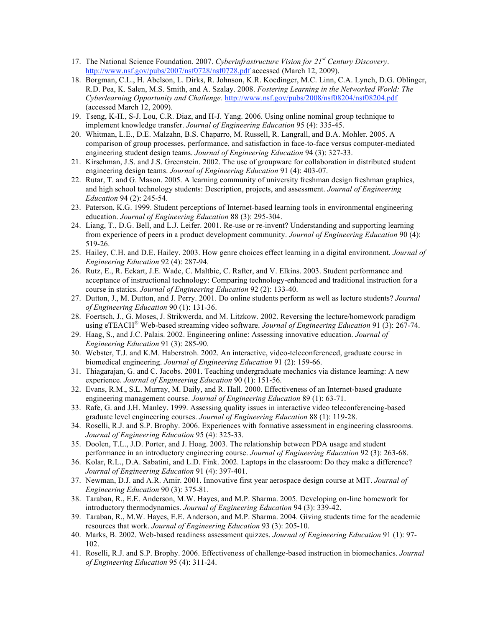- 17. The National Science Foundation. 2007. *Cyberinfrastructure Vision for 21st Century Discovery*. http://www.nsf.gov/pubs/2007/nsf0728/nsf0728.pdf accessed (March 12, 2009).
- 18. Borgman, C.L., H. Abelson, L. Dirks, R. Johnson, K.R. Koedinger, M.C. Linn, C.A. Lynch, D.G. Oblinger, R.D. Pea, K. Salen, M.S. Smith, and A. Szalay. 2008. *Fostering Learning in the Networked World: The Cyberlearning Opportunity and Challenge*. http://www.nsf.gov/pubs/2008/nsf08204/nsf08204.pdf (accessed March 12, 2009).
- 19. Tseng, K-H., S-J. Lou, C.R. Diaz, and H-J. Yang. 2006. Using online nominal group technique to implement knowledge transfer. *Journal of Engineering Education* 95 (4): 335-45.
- 20. Whitman, L.E., D.E. Malzahn, B.S. Chaparro, M. Russell, R. Langrall, and B.A. Mohler. 2005. A comparison of group processes, performance, and satisfaction in face-to-face versus computer-mediated engineering student design teams. *Journal of Engineering Education* 94 (3): 327-33.
- 21. Kirschman, J.S. and J.S. Greenstein. 2002. The use of groupware for collaboration in distributed student engineering design teams. *Journal of Engineering Education* 91 (4): 403-07.
- 22. Rutar, T. and G. Mason. 2005. A learning community of university freshman design freshman graphics, and high school technology students: Description, projects, and assessment. *Journal of Engineering Education* 94 (2): 245-54.
- 23. Paterson, K.G. 1999. Student perceptions of Internet-based learning tools in environmental engineering education. *Journal of Engineering Education* 88 (3): 295-304.
- 24. Liang, T., D.G. Bell, and L.J. Leifer. 2001. Re-use or re-invent? Understanding and supporting learning from experience of peers in a product development community. *Journal of Engineering Education* 90 (4): 519-26.
- 25. Hailey, C.H. and D.E. Hailey. 2003. How genre choices effect learning in a digital environment. *Journal of Engineering Education* 92 (4): 287-94.
- 26. Rutz, E., R. Eckart, J.E. Wade, C. Maltbie, C. Rafter, and V. Elkins. 2003. Student performance and acceptance of instructional technology: Comparing technology-enhanced and traditional instruction for a course in statics. *Journal of Engineering Education* 92 (2): 133-40.
- 27. Dutton, J., M. Dutton, and J. Perry. 2001. Do online students perform as well as lecture students? *Journal of Engineering Education* 90 (1): 131-36.
- 28. Foertsch, J., G. Moses, J. Strikwerda, and M. Litzkow. 2002. Reversing the lecture/homework paradigm using eTEACH® Web-based streaming video software. *Journal of Engineering Education* 91 (3): 267-74.
- 29. Haag, S., and J.C. Palais. 2002. Engineering online: Assessing innovative education. *Journal of Engineering Education* 91 (3): 285-90.
- 30. Webster, T.J. and K.M. Haberstroh. 2002. An interactive, video-teleconferenced, graduate course in biomedical engineering. *Journal of Engineering Education* 91 (2): 159-66.
- 31. Thiagarajan, G. and C. Jacobs. 2001. Teaching undergraduate mechanics via distance learning: A new experience. *Journal of Engineering Education* 90 (1): 151-56.
- 32. Evans, R.M., S.L. Murray, M. Daily, and R. Hall. 2000. Effectiveness of an Internet-based graduate engineering management course. *Journal of Engineering Education* 89 (1): 63-71.
- 33. Rafe, G. and J.H. Manley. 1999. Assessing quality issues in interactive video teleconferencing-based graduate level engineering courses. *Journal of Engineering Education* 88 (1): 119-28.
- 34. Roselli, R.J. and S.P. Brophy. 2006. Experiences with formative assessment in engineering classrooms. *Journal of Engineering Education* 95 (4): 325-33.
- 35. Doolen, T.L., J.D. Porter, and J. Hoag. 2003. The relationship between PDA usage and student performance in an introductory engineering course. *Journal of Engineering Education* 92 (3): 263-68.
- 36. Kolar, R.L., D.A. Sabatini, and L.D. Fink. 2002. Laptops in the classroom: Do they make a difference? *Journal of Engineering Education* 91 (4): 397-401.
- 37. Newman, D.J. and A.R. Amir. 2001. Innovative first year aerospace design course at MIT. *Journal of Engineering Education* 90 (3): 375-81.
- 38. Taraban, R., E.E. Anderson, M.W. Hayes, and M.P. Sharma. 2005. Developing on-line homework for introductory thermodynamics. *Journal of Engineering Education* 94 (3): 339-42.
- 39. Taraban, R., M.W. Hayes, E.E. Anderson, and M.P. Sharma. 2004. Giving students time for the academic resources that work. *Journal of Engineering Education* 93 (3): 205-10.
- 40. Marks, B. 2002. Web-based readiness assessment quizzes. *Journal of Engineering Education* 91 (1): 97- 102.
- 41. Roselli, R.J. and S.P. Brophy. 2006. Effectiveness of challenge-based instruction in biomechanics. *Journal of Engineering Education* 95 (4): 311-24.